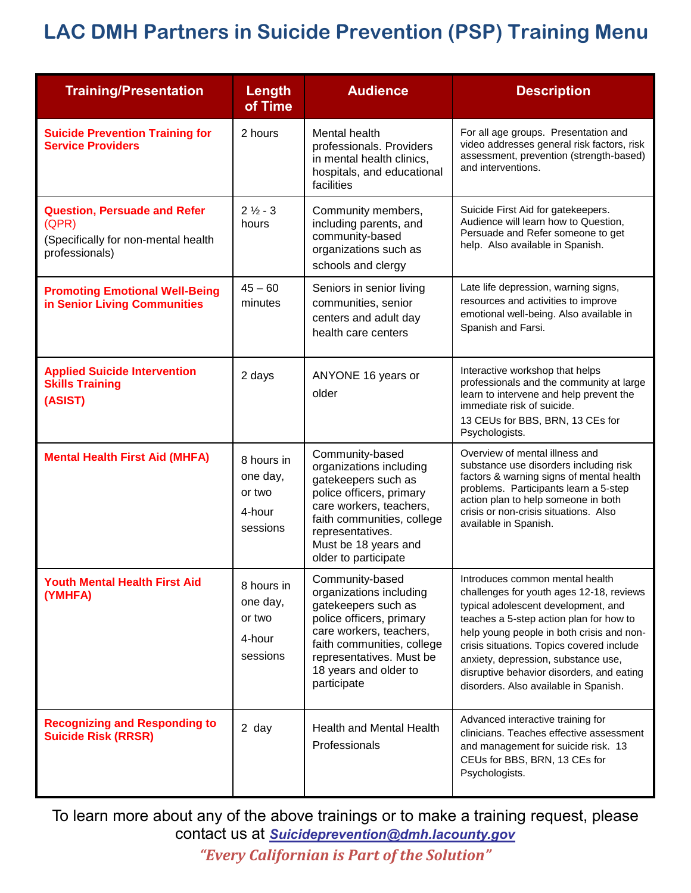## **LAC DMH Partners in Suicide Prevention (PSP) Training Menu**

| <b>Training/Presentation</b>                                                                          | Length<br>of Time                                      | <b>Audience</b>                                                                                                                                                                                                            | <b>Description</b>                                                                                                                                                                                                                                                                                                                                                                   |
|-------------------------------------------------------------------------------------------------------|--------------------------------------------------------|----------------------------------------------------------------------------------------------------------------------------------------------------------------------------------------------------------------------------|--------------------------------------------------------------------------------------------------------------------------------------------------------------------------------------------------------------------------------------------------------------------------------------------------------------------------------------------------------------------------------------|
| <b>Suicide Prevention Training for</b><br><b>Service Providers</b>                                    | 2 hours                                                | Mental health<br>professionals. Providers<br>in mental health clinics,<br>hospitals, and educational<br>facilities                                                                                                         | For all age groups. Presentation and<br>video addresses general risk factors, risk<br>assessment, prevention (strength-based)<br>and interventions.                                                                                                                                                                                                                                  |
| <b>Question, Persuade and Refer</b><br>(QPR)<br>(Specifically for non-mental health<br>professionals) | $2\frac{1}{2} - 3$<br>hours                            | Community members,<br>including parents, and<br>community-based<br>organizations such as<br>schools and clergy                                                                                                             | Suicide First Aid for gatekeepers.<br>Audience will learn how to Question,<br>Persuade and Refer someone to get<br>help. Also available in Spanish.                                                                                                                                                                                                                                  |
| <b>Promoting Emotional Well-Being</b><br>in Senior Living Communities                                 | $45 - 60$<br>minutes                                   | Seniors in senior living<br>communities, senior<br>centers and adult day<br>health care centers                                                                                                                            | Late life depression, warning signs,<br>resources and activities to improve<br>emotional well-being. Also available in<br>Spanish and Farsi.                                                                                                                                                                                                                                         |
| <b>Applied Suicide Intervention</b><br><b>Skills Training</b><br>(ASIST)                              | 2 days                                                 | ANYONE 16 years or<br>older                                                                                                                                                                                                | Interactive workshop that helps<br>professionals and the community at large<br>learn to intervene and help prevent the<br>immediate risk of suicide.<br>13 CEUs for BBS, BRN, 13 CEs for<br>Psychologists.                                                                                                                                                                           |
| <b>Mental Health First Aid (MHFA)</b>                                                                 | 8 hours in<br>one day,<br>or two<br>4-hour<br>sessions | Community-based<br>organizations including<br>gatekeepers such as<br>police officers, primary<br>care workers, teachers,<br>faith communities, college<br>representatives.<br>Must be 18 years and<br>older to participate | Overview of mental illness and<br>substance use disorders including risk<br>factors & warning signs of mental health<br>problems. Participants learn a 5-step<br>action plan to help someone in both<br>crisis or non-crisis situations. Also<br>available in Spanish.                                                                                                               |
| <b>Youth Mental Health First Aid</b><br>(YMHFA)                                                       | 8 hours in<br>one day,<br>or two<br>4-hour<br>sessions | Community-based<br>organizations including<br>gatekeepers such as<br>police officers, primary<br>care workers, teachers,<br>faith communities, college<br>representatives. Must be<br>18 years and older to<br>participate | Introduces common mental health<br>challenges for youth ages 12-18, reviews<br>typical adolescent development, and<br>teaches a 5-step action plan for how to<br>help young people in both crisis and non-<br>crisis situations. Topics covered include<br>anxiety, depression, substance use,<br>disruptive behavior disorders, and eating<br>disorders. Also available in Spanish. |
| <b>Recognizing and Responding to</b><br><b>Suicide Risk (RRSR)</b>                                    | 2 day                                                  | <b>Health and Mental Health</b><br>Professionals                                                                                                                                                                           | Advanced interactive training for<br>clinicians. Teaches effective assessment<br>and management for suicide risk. 13<br>CEUs for BBS, BRN, 13 CEs for<br>Psychologists.                                                                                                                                                                                                              |

To learn more about any of the above trainings or to make a training request, please contact us at *[Suicideprevention@dmh.lacounty.gov](mailto:Suicideprevention@dmh.lacounty.gov) "Every Californian is Part of the Solution"*